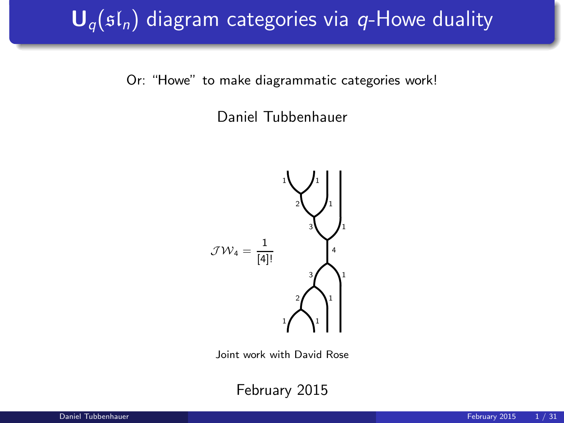# $\mathbf{U}_{q}(\mathfrak{sl}_n)$  diagram categories via q-Howe duality

Or: "Howe" to make diagrammatic categories work!

Daniel Tubbenhauer



Joint work with David Rose

February 2015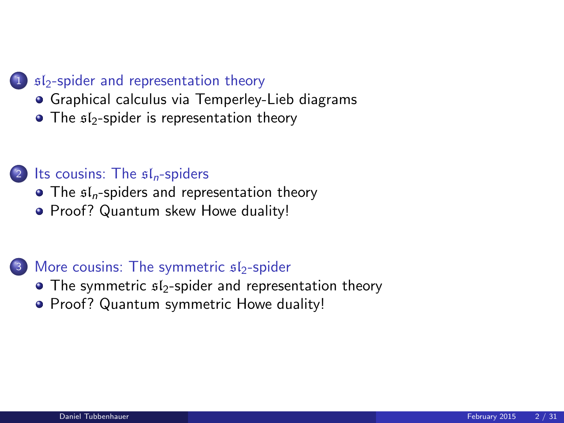#### 1  $sI<sub>2</sub>$ [-spider and representation theory](#page-2-0)

- [Graphical calculus via Temperley-Lieb diagrams](#page-2-0)
- $\bullet$  The  $$I_2$-spider$  is representation theory

#### (2) [Its cousins: The](#page-9-0)  $\mathfrak{sl}_n$ -spiders

- $\bullet$  The  $\mathfrak{sl}_n$ [-spiders and representation theory](#page-9-0)
- [Proof? Quantum skew Howe duality!](#page-17-0)

#### $3$  [More cousins: The symmetric](#page-22-0)  $s1$ -spider

- $\bullet$  The symmetric  $$I_2$-spider$  and representation theory
- **[Proof? Quantum symmetric Howe duality!](#page-27-0)**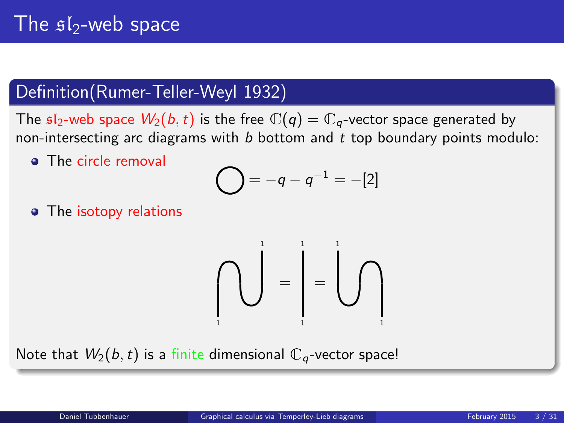# The  $s1$ -web space

#### Definition(Rumer-Teller-Weyl 1932)

The  $sI_2$ -web space  $W_2(b, t)$  is the free  $\mathbb{C}(q) = \mathbb{C}_q$ -vector space generated by non-intersecting arc diagrams with  $b$  bottom and  $t$  top boundary points modulo:

**•** The circle removal

$$
= -q - q^{-1} = -[2]
$$

• The isotopy relations

<span id="page-2-0"></span>

Note that  $W_2(b, t)$  is a finite dimensional  $\mathbb{C}_q$ -vector space!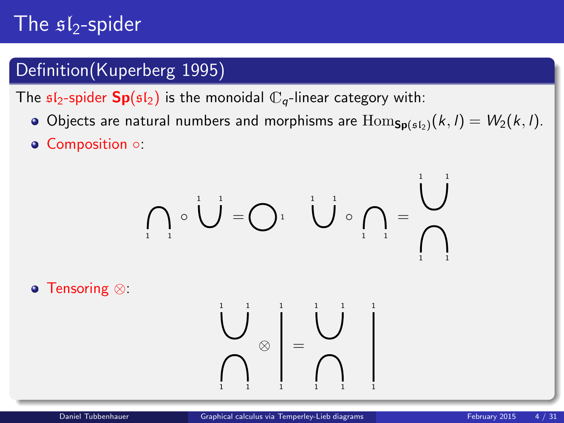# The  $sI_2$ -spider

### Definition(Kuperberg 1995)

The  $\mathfrak{sl}_2$ -spider  $\mathbf{Sp}(\mathfrak{sl}_2)$  is the monoidal  $\mathbb{C}_q$ -linear category with:

- Objects are natural numbers and morphisms are  $\text{Hom}_{\text{Sn(s,b)}}(k, l) = W_2(k, l)$ .
- Composition ○:

$$
\bigcap_{i=1}^n \circ \bigcup_{i=1}^{n} = \bigcap_{i=1}^n \bigcup_{i=1}^{n} \circ \bigcap_{i=1}^n = \bigcup_{i=1}^{n} \bigcap_{i=1}^n
$$

Tensoring ⊗:

1 1 1

⊗ =

1 1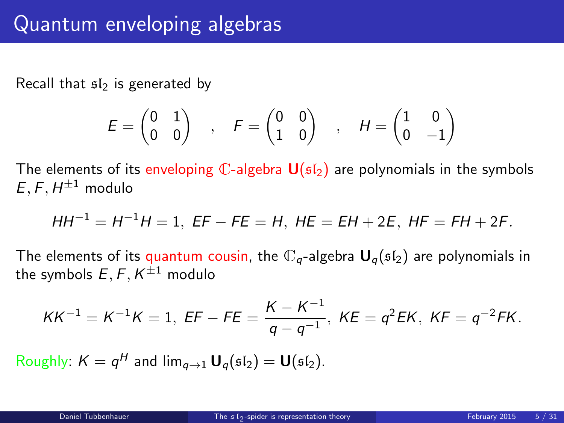Recall that  $s/s$  is generated by

$$
E = \begin{pmatrix} 0 & 1 \\ 0 & 0 \end{pmatrix} , F = \begin{pmatrix} 0 & 0 \\ 1 & 0 \end{pmatrix} , H = \begin{pmatrix} 1 & 0 \\ 0 & -1 \end{pmatrix}
$$

The elements of its enveloping  $\mathbb{C}$ -algebra  $\mathsf{U}(\mathfrak{sl}_2)$  are polynomials in the symbols  $E, F, H^{\pm 1}$  modulo

$$
HH^{-1} = H^{-1}H = 1, EF - FE = H, HE = EH + 2E, HF = FH + 2F.
$$

The elements of its quantum cousin, the  $\mathbb{C}_q$ -algebra  $U_q(\mathfrak{sl}_2)$  are polynomials in the symbols  $E, F, K^{\pm 1}$  modulo

<span id="page-4-0"></span>
$$
KK^{-1} = K^{-1}K = 1, \ EF - FE = \frac{K - K^{-1}}{q - q^{-1}}, \ KE = q^2 EK, \ KF = q^{-2}FK.
$$

Roughly:  $K = q^H$  and  $\lim_{q \to 1} \mathbf{U}_q(\mathfrak{sl}_2) = \mathbf{U}(\mathfrak{sl}_2)$ .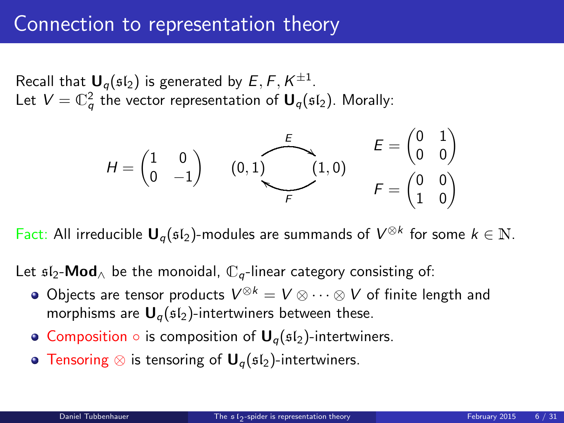### Connection to representation theory

Recall that  $\mathbf{U}_q(\mathfrak{sl}_2)$  is generated by  $E, F, K^{\pm 1}$ . Let  $V=\mathbb{C}_q^2$  the vector representation of  $\boldsymbol{\mathsf{U}}_q(\mathfrak{sl}_2).$  Morally:



Fact: All irreducible  $U_q(\mathfrak{sl}_2)$ -modules are summands of  $V^{\otimes k}$  for some  $k \in \mathbb{N}$ .

Let  $\mathfrak{sl}_2\text{-}\mathsf{Mod}_{\wedge}$  be the monoidal,  $\mathbb{C}_q$ -linear category consisting of:

- Objects are tensor products  $V^{\otimes k} = V \otimes \cdots \otimes V$  of finite length and morphisms are  $U_q(s_1)$ -intertwiners between these.
- Composition  $\circ$  is composition of  $\mathbf{U}_q(\mathfrak{sl}_2)$ -intertwiners.
- Tensoring  $\otimes$  is tensoring of  $\mathbf{U}_q(\mathfrak{sl}_2)$ -intertwiners.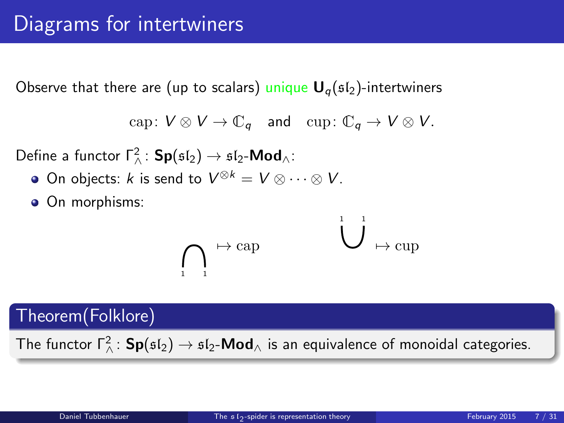Observe that there are (up to scalars) unique  $U_q(s_1)$ -intertwiners

$$
\text{cap} \colon V \otimes V \to \mathbb{C}_q \quad \text{and} \quad \text{cup} \colon \mathbb{C}_q \to V \otimes V.
$$

Define a functor  $\Gamma^2_{\wedge}$ :  $\mathsf{Sp}(\mathfrak{sl}_2) \to \mathfrak{sl}_2\text{-}\mathsf{Mod}_{\wedge}$ :

- On objects: k is send to  $V^{\otimes k} = V \otimes \cdots \otimes V$ .
- On morphisms:

$$
\bigcap_{\iota \quad \iota} \mapsto \mathop{\rm cap}\nolimits \hspace{1cm} \bigcup \ \mathop{\mapsto} \mathop{\rm cup}\nolimits
$$

1 1

#### Theorem(Folklore)

The functor  $\Gamma_\wedge^2\colon \mathsf{Sp}(\mathfrak{sl}_2)\to \mathfrak{sl}_2\text{-}\mathsf{Mod}_\wedge$  is an equivalence of monoidal categories.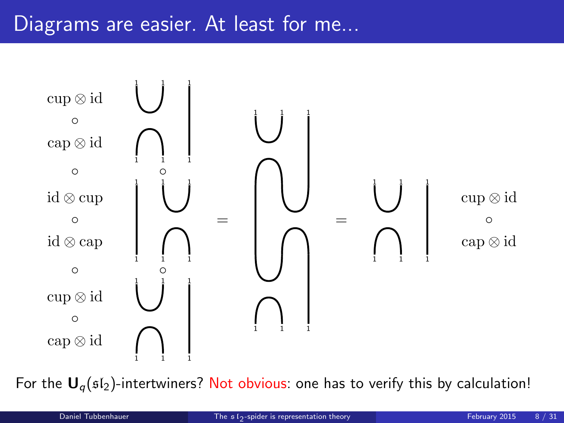

For the  $U_q$ ( $sI_2$ )-intertwiners? Not obvious: one has to verify this by calculation!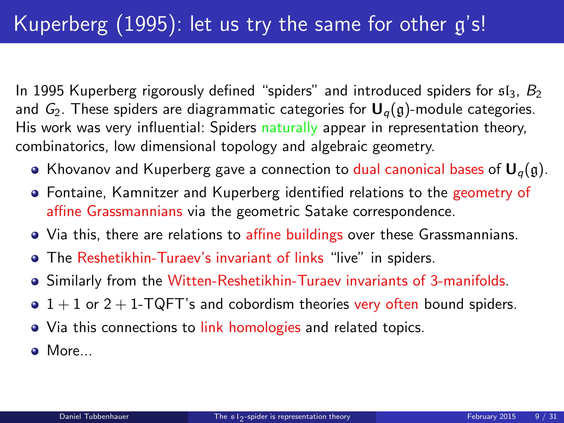In 1995 Kuperberg rigorously defined "spiders" and introduced spiders for  $s1_3$ ,  $B_2$ and  $G_2$ . These spiders are diagrammatic categories for  $U_q(g)$ -module categories. His work was very influential: Spiders naturally appear in representation theory, combinatorics, low dimensional topology and algebraic geometry.

- Khovanov and Kuperberg gave a connection to dual canonical bases of  $U_q(g)$ .
- Fontaine, Kamnitzer and Kuperberg identified relations to the geometry of affine Grassmannians via the geometric Satake correspondence.
- Via this, there are relations to affine buildings over these Grassmannians.
- The Reshetikhin-Turaev's invariant of links "live" in spiders.
- Similarly from the Witten-Reshetikhin-Turaev invariants of 3-manifolds.
- $\bullet$  1 + 1 or 2 + 1-TQFT's and cobordism theories very often bound spiders.
- Via this connections to link homologies and related topics.
- **a** More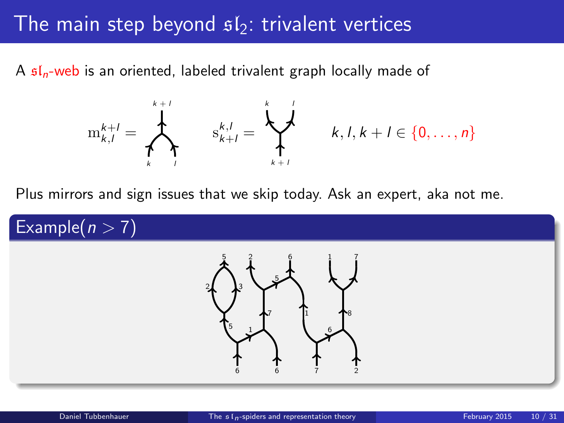### The main step beyond  $s/s$ : trivalent vertices

A  $\mathfrak{sl}_n$ -web is an oriented, labeled trivalent graph locally made of



<span id="page-9-0"></span>
$$
k,l,k+l\in\{0,\ldots,n\}
$$

Plus mirrors and sign issues that we skip today. Ask an expert, aka not me.

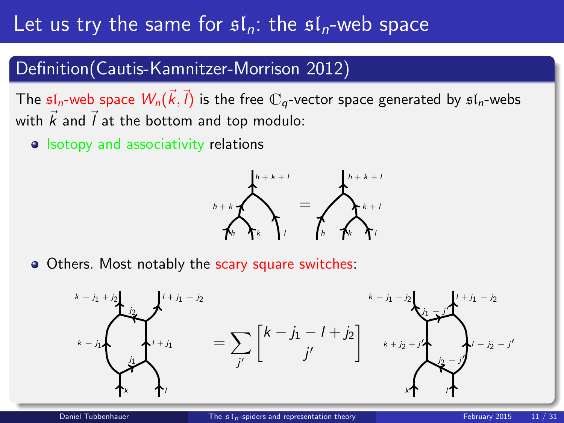# Let us try the same for  $\mathfrak{sl}_n$ : the  $\mathfrak{sl}_n$ -web space

#### Definition(Cautis-Kamnitzer-Morrison 2012)

The  $\mathfrak{sl}_n$ -web space  $W_n(\vec{k},\vec{l})$  is the free  $\mathbb{C}_q$ -vector space generated by  $\mathfrak{sl}_n$ -webs with  $\vec{k}$  and  $\vec{l}$  at the bottom and top modulo:

• Isotopy and associativity relations



• Others. Most notably the scary square switches:

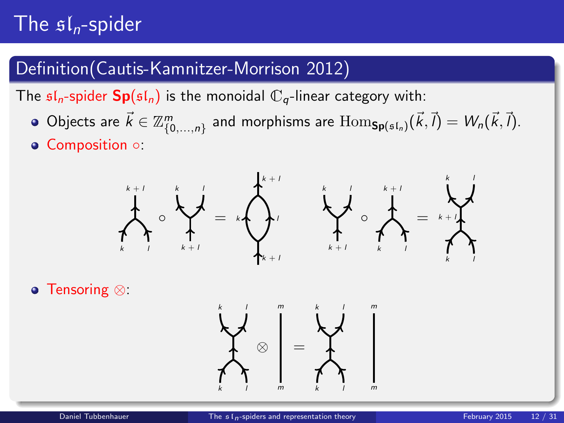# The  $\mathfrak{sl}_n$ -spider

### Definition(Cautis-Kamnitzer-Morrison 2012)

The  $\mathfrak{sl}_n$ -spider  $\mathbf{Sp}(\mathfrak{sl}_n)$  is the monoidal  $\mathbb{C}_q$ -linear category with:

- Objects are  $\vec{k} \in \mathbb{Z}_{\{0,\ldots,n\}}^m$  and morphisms are  $\mathrm{Hom}_{\mathsf{Sp}(\mathfrak{sl}_n)}(\vec{k},\vec{l}) = W_n(\vec{k},\vec{l}).$
- Composition ○:



Tensoring ⊗:

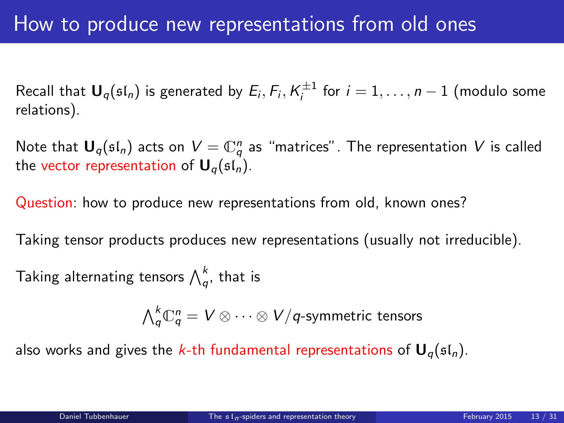Recall that  $\mathbf{U}_q(\mathfrak{sl}_n)$  is generated by  $E_i, F_i, K_i^{\pm 1}$  for  $i = 1, \ldots, n-1$  (modulo some relations).

Note that  ${\mathbf U}_q(\mathfrak{sl}_n)$  acts on  $V=\mathbb{C}^n_q$  as "matrices". The representation  $V$  is called the vector representation of  $U_q(\mathfrak{sl}_n)$ .

Question: how to produce new representations from old, known ones?

Taking tensor products produces new representations (usually not irreducible).

Taking alternating tensors  $\bigwedge^k_q$ , that is

 $\bigwedge_q^k\mathbb{C}^n_q=V\otimes\cdots\otimes V/q$ -symmetric tensors

also works and gives the k-th fundamental representations of  $U_q(sI_n)$ .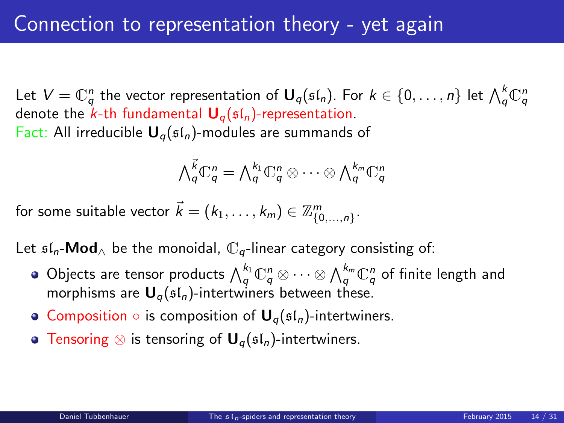Let  $V=\mathbb{C}^n_q$  the vector representation of  $\bm{\mathsf{U}}_q(\mathfrak{sl}_n)$ . For  $k\in\{0,\ldots,n\}$  let  $\bigwedge^k_q \mathbb{C}^n_q$ denote the k-th fundamental  $U_q(sI_n)$ -representation. Fact: All irreducible  $U_q(\mathfrak{sl}_n)$ -modules are summands of

$$
\bigwedge \mathop{q}\limits^{\vec{k}} \mathbb{C}^n_q = \bigwedge \mathop{q}\limits^{k_1} \mathbb{C}^n_q \otimes \cdots \otimes \bigwedge \mathop{q}\limits^{k_m} \mathbb{C}^n_q
$$

for some suitable vector  $\vec{k}=(k_1,\ldots,k_m)\in\mathbb{Z}_{\{0,\ldots,n\}}^m.$ 

Let  $\mathfrak{sl}_n$ -**Mod** be the monoidal,  $\mathbb{C}_q$ -linear category consisting of:

- Objects are tensor products  $\bigwedge_q^{k_1}\mathbb{C}^n_q\otimes\cdots\otimes \bigwedge_q^{k_m}\mathbb{C}^n_q$  of finite length and morphisms are  $U_q(sI_n)$ -intertwiners between these.
- Composition  $\circ$  is composition of  $\mathbf{U}_q(\mathfrak{sl}_n)$ -intertwiners.
- **Tensoring ⊗ is tensoring of**  $U_q(st_n)$ **-intertwiners.**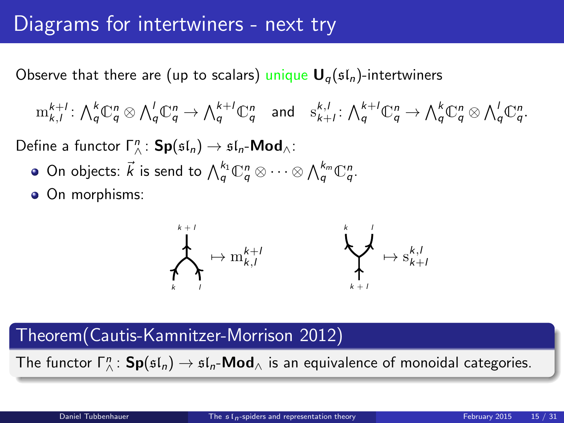### Diagrams for intertwiners - next try

Observe that there are (up to scalars) unique  $U_q(sI_n)$ -intertwiners

$$
\mathrm{m}_{k,l}^{k+l}:\textstyle\bigwedge_q^k\mathbb{C}_q^n\otimes\bigwedge_q^l\mathbb{C}_q^n\rightarrow\textstyle\bigwedge_q^{k+l}\mathbb{C}_q^n\quad\text{and}\quad\mathrm{s}_{k+l}^{k,l}:\textstyle\bigwedge_q^{k+l}\mathbb{C}_q^n\rightarrow\textstyle\bigwedge_q^k\mathbb{C}_q^n\otimes\bigwedge_q^l\mathbb{C}_q^n.
$$

Define a functor  $\Gamma^n_{\wedge}$ :  $\mathsf{Sp}(\mathfrak{sl}_n) \to \mathfrak{sl}_n\text{-}\mathsf{Mod}_{\wedge}$ :

- On objects:  $\vec{k}$  is send to  $\bigwedge_q^{k_1}\mathbb{C}^n_q \otimes \cdots \otimes \bigwedge_q^{k_m}\mathbb{C}^n_q.$
- On morphisms:



#### Theorem(Cautis-Kamnitzer-Morrison 2012)

The functor  $\Gamma_\wedge^n\colon \mathsf{Sp}(\mathfrak{sl}_n)\to \mathfrak{sl}_n\text{-}\mathsf{Mod}_\wedge$  is an equivalence of monoidal categories.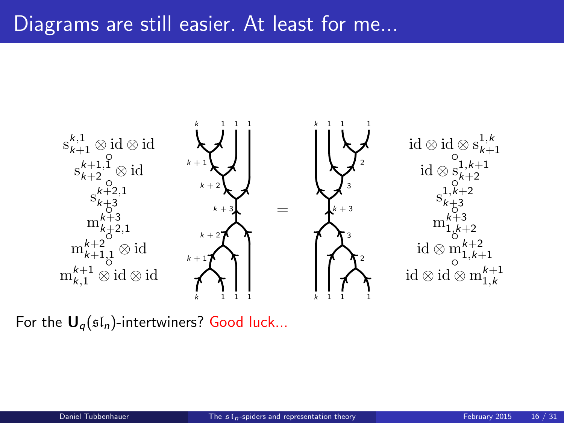### Diagrams are still easier. At least for me...



For the  $U_q(sI_n)$ -intertwiners? Good luck...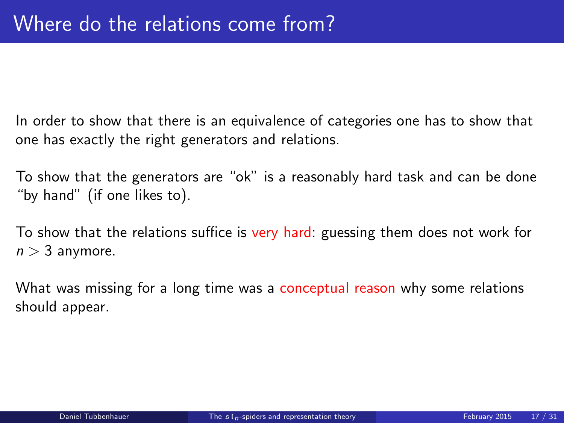In order to show that there is an equivalence of categories one has to show that one has exactly the right generators and relations.

To show that the generators are "ok" is a reasonably hard task and can be done "by hand" (if one likes to).

To show that the relations suffice is very hard: guessing them does not work for  $n > 3$  anymore.

What was missing for a long time was a conceptual reason why some relations should appear.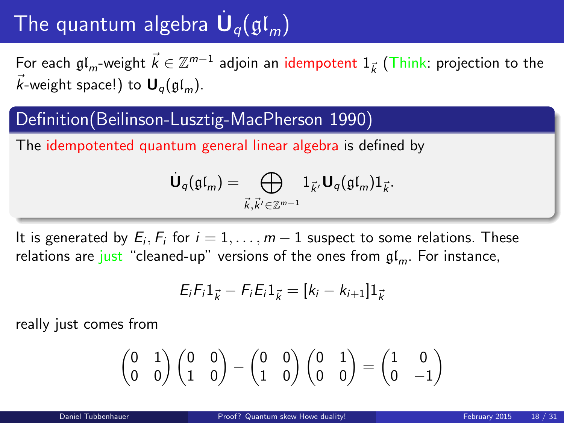# The quantum algebra  $\dot{\mathsf{U}}_q(\mathfrak{gl}_m)$

For each  $\mathfrak{gl}_m$ -weight  $\vec{k} \in \mathbb{Z}^{m-1}$  adjoin an idempotent  $1_{\vec{k}}$  (Think: projection to the  $\vec{k}$ -weight space!) to  $\mathbf{U}_q(\mathfrak{gl}_m)$ .

#### Definition(Beilinson-Lusztig-MacPherson 1990)

The idempotented quantum general linear algebra is defined by

$$
\dot{\mathbf{U}}_q(\mathfrak{gl}_m) = \bigoplus_{\vec{k},\vec{k}' \in \mathbb{Z}^{m-1}} 1_{\vec{k}'} \mathbf{U}_q(\mathfrak{gl}_m) 1_{\vec{k}}.
$$

It is generated by  $E_i, F_i$  for  $i = 1, \ldots, m - 1$  suspect to some relations. These relations are just "cleaned-up" versions of the ones from  $\mathfrak{gl}_m$ . For instance,

<span id="page-17-0"></span>
$$
E_i F_i 1_{\vec{k}} - F_i E_i 1_{\vec{k}} = [k_i - k_{i+1}] 1_{\vec{k}}
$$

really just comes from

$$
\begin{pmatrix}0&1\\0&0\end{pmatrix}\begin{pmatrix}0&0\\1&0\end{pmatrix}-\begin{pmatrix}0&0\\1&0\end{pmatrix}\begin{pmatrix}0&1\\0&0\end{pmatrix}=\begin{pmatrix}1&0\\0&-1\end{pmatrix}
$$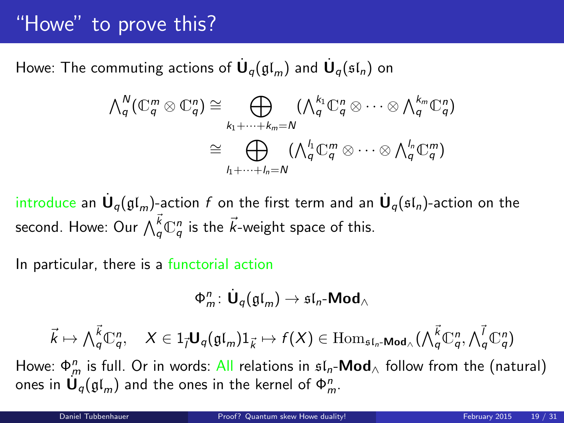# "Howe" to prove this?

Howe: The commuting actions of  $\dot{\mathsf{U}}_q(\mathfrak{gl}_m)$  and  $\dot{\mathsf{U}}_q(\mathfrak{sl}_n)$  on

$$
\begin{aligned}\n\bigwedge\n\begin{bmatrix}\n\Lambda_q^N(\mathbb{C}_q^m \otimes \mathbb{C}_q^n) \cong \bigoplus_{k_1 + \cdots + k_m = N} \left( \bigwedge\n\begin{bmatrix}\n\Lambda_q^k \mathbb{C}_q^n \otimes \cdots \otimes \bigwedge\n\begin{bmatrix}\n\Lambda_q^{k_m} \mathbb{C}_q^n\n\end{bmatrix}\n\end{bmatrix} \\
\cong \bigoplus_{l_1 + \cdots + l_n = N} \left( \bigwedge\n\begin{bmatrix}\n\Lambda_q^l \mathbb{C}_q^m \otimes \cdots \otimes \bigwedge\n\begin{bmatrix}\n\Lambda_q^l \mathbb{C}_q^m\n\end{bmatrix}\n\end{aligned}\n\right)\n\end{aligned}
$$

introduce an  $\dot{\mathsf{U}}_q(\mathfrak{gl}_m)$ -action  $f$  on the first term and an  $\dot{\mathsf{U}}_q(\mathfrak{sl}_n)$ -action on the second. Howe: Our  $\bigwedge^{\vec{k}}_q \mathbb{C}^n_q$  is the  $\vec{k}$ -weight space of this.

In particular, there is a functorial action

$$
\Phi^n_m\colon \dot{\mathbf U}_q(\mathfrak{gl}_m)\to \mathfrak{sl}_n\text{-}\mathbf{Mod}_\wedge
$$

$$
\vec{k} \mapsto \bigwedge_{q}^{\vec{k}} \mathbb{C}_{q}^{n}, \quad X \in 1_{\vec{l}} \mathbf{U}_{q}(\mathfrak{gl}_{m}) 1_{\vec{k}} \mapsto f(X) \in \mathrm{Hom}_{\mathfrak{sl}_n\text{-Mod}_{\wedge}}(\bigwedge_{q}^{\vec{k}} \mathbb{C}_{q}^{n}, \bigwedge_{q}^{\vec{l}} \mathbb{C}_{q}^{n})
$$

Howe:  $\Phi_m^n$  is full. Or in words: All relations in  $\mathfrak{sl}_n\text{-}\mathsf{Mod}_\triangle$  follow from the (natural) ones in  $\mathsf{U}_q(\mathfrak{gl}_m)$  and the ones in the kernel of  $\Phi_m^n.$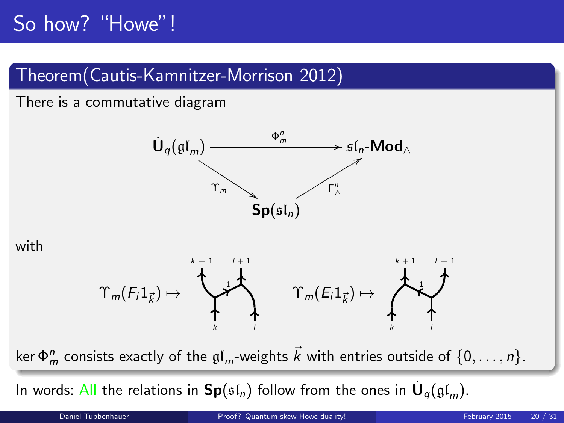# So how? "Howe"!

### Theorem(Cautis-Kamnitzer-Morrison 2012)

#### There is a commutative diagram



#### with



ker  $\Phi_m^n$  consists exactly of the  $\mathfrak{gl}_m$ -weights  $\vec{k}$  with entries outside of  $\{0,\ldots,n\}.$ 

In words: All the relations in  $\mathsf{Sp}(\mathfrak{sl}_n)$  follow from the ones in  $\dot{\mathsf{U}}_q(\mathfrak{gl}_m).$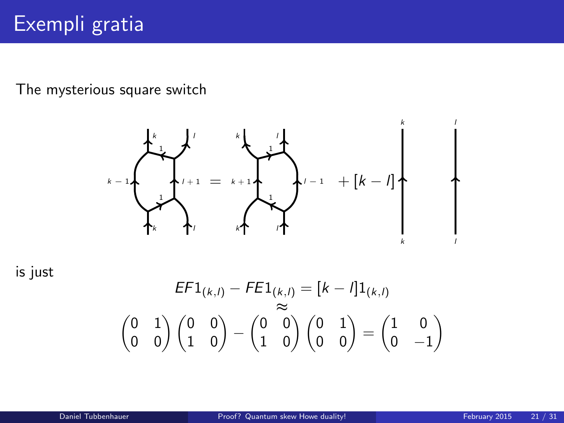The mysterious square switch



is just

$$
E F1_{(k,l)} - F E1_{(k,l)} = [k - l]1_{(k,l)}
$$

$$
\begin{pmatrix} 0 & 1 \\ 0 & 0 \end{pmatrix} \begin{pmatrix} 0 & 0 \\ 1 & 0 \end{pmatrix} - \begin{pmatrix} 0 & 0 \\ 1 & 0 \end{pmatrix} \begin{pmatrix} 0 & 1 \\ 0 & 0 \end{pmatrix} = \begin{pmatrix} 1 & 0 \\ 0 & -1 \end{pmatrix}
$$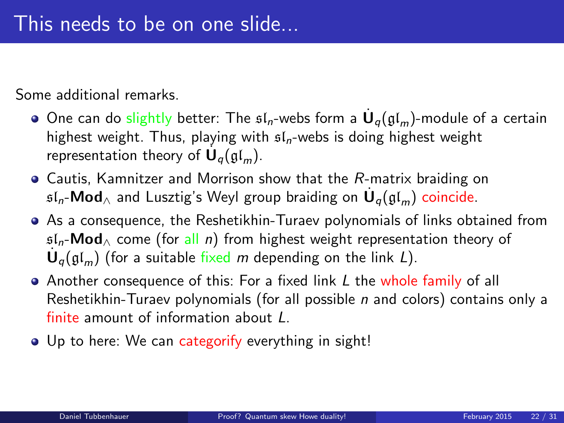Some additional remarks.

- One can do slightly better: The  $\mathfrak{sl}_n$ -webs form a  $\dot{\textbf U}_q(\mathfrak{gl}_m)$ -module of a certain highest weight. Thus, playing with  $sI_n$ -webs is doing highest weight representation theory of  $\dot{\mathbf{U}}_q(\mathfrak{gl}_m)$ .
- Cautis, Kamnitzer and Morrison show that the R-matrix braiding on  $\mathfrak{sl}_n\text{-}\mathsf{Mod}_\wedge$  and Lusztig's Weyl group braiding on  $\dot{\mathsf{U}}_q(\mathfrak{gl}_m)$  coincide.
- As a consequence, the Reshetikhin-Turaev polynomials of links obtained from  $sL_n$ -Mod<sub>∧</sub> come (for all n) from highest weight representation theory of  $\dot{\mathbf{U}}_q(\mathfrak{gl}_m)$  (for a suitable fixed m depending on the link L).
- Another consequence of this: For a fixed link L the whole family of all Reshetikhin-Turaev polynomials (for all possible  $n$  and colors) contains only a finite amount of information about L.
- Up to here: We can categorify everything in sight!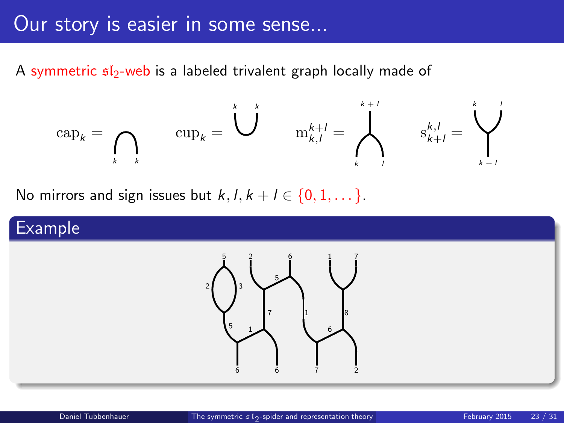### Our story is easier in some sense...

A symmetric  $s/s$ -web is a labeled trivalent graph locally made of

$$
\mathrm{cap}_k = \bigcap_{k \quad k} \qquad \mathrm{cup}_k = \bigcup_{k=1}^k \qquad \mathrm{m}_{k,l}^{k+l} = \bigwedge_{k=1}^{k+l} \qquad \mathrm{s}_{k+l}^{k,l} = \bigvee_{k+l}^{k}
$$

No mirrors and sign issues but  $k, l, k+l \in \{0, 1, \dots\}$ .

#### Example

<span id="page-22-0"></span>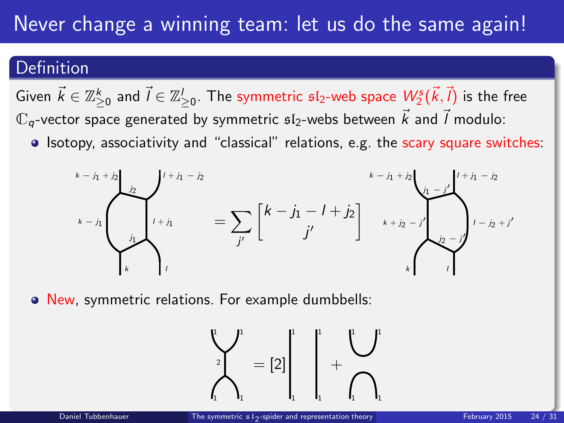# Never change a winning team: let us do the same again!

#### Definition

Given  $\vec k\in\mathbb{Z}_{\ge0}^k$  and  $\vec l\in\mathbb{Z}_{\ge0}^l.$  The symmetric  $\mathfrak{sl}_2$ -web space  $W^s_2(\vec k,\vec l)$  is the free  $\mathbb{C}_q$ -vector space generated by symmetric  $\mathfrak{sl}_2$ -webs between  $\vec{k}$  and  $\vec{l}$  modulo:

• Isotopy, associativity and "classical" relations, e.g. the scary square switches:



New, symmetric relations. For example dumbbells:

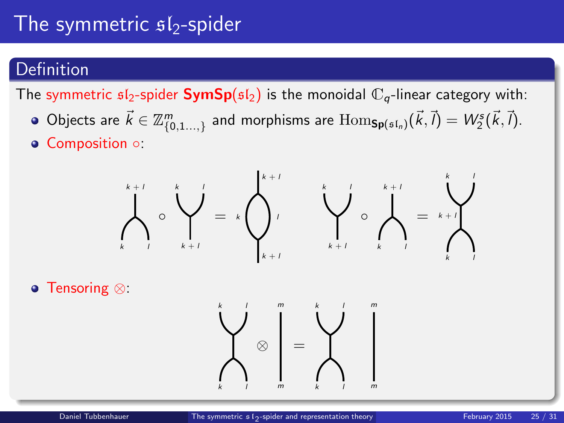# The symmetric  $s1_2$ -spider

#### **Definition**

The symmetric  $sI_2$ -spider **SymSp**( $sI_2$ ) is the monoidal  $\mathbb{C}_q$ -linear category with:

- Objects are  $\vec{k} \in \mathbb{Z}_{\{0,1...,2\}}^m$  and morphisms are  $\text{Hom}_{\textbf{Sp}(\mathfrak{sl}_n)}(\vec{k},\vec{l}) = W^s_2(\vec{k},\vec{l}).$
- Composition ○:



Tensoring ⊗:

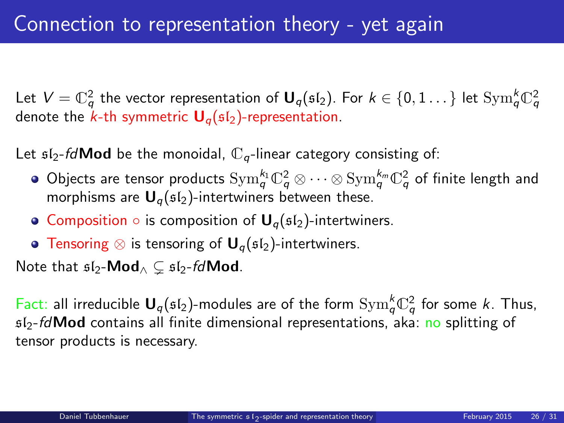Let  $V=\mathbb{C}_q^2$  the vector representation of  $\bm{\mathsf{U}}_q(\mathfrak{sl}_2).$  For  $k\in\{0,1\ldots\}$  let  $\mathrm{Sym}_q^k\mathbb{C}_q^2$ denote the  $k$ -th symmetric  $U_q(sI_2)$ -representation.

Let  $sI_2$ -fd**Mod** be the monoidal,  $\mathbb{C}_q$ -linear category consisting of:

- Objects are tensor products  ${\rm Sym}_q^{k_1} \mathbb{C}_q^2 \otimes \cdots \otimes {\rm Sym}_q^{k_m} \mathbb{C}_q^2$  of finite length and morphisms are  $U_q(sI_2)$ -intertwiners between these.
- Composition  $\circ$  is composition of  $U_q(\mathfrak{sl}_2)$ -intertwiners.
- **Tensoring ⊗ is tensoring of U<sub>a</sub>(sl<sub>2</sub>)-intertwiners.**

Note that  $\mathfrak{sl}_2\text{-}\mathsf{Mod}_\wedge \subset \mathfrak{sl}_2$ -fdMod.

Fact: all irreducible  $U_q(\mathfrak{sl}_2)$ -modules are of the form  $\mathrm{Sym}^k_q \mathbb{C}^2_q$  for some k. Thus,  $s/2$ -*fd* Mod contains all finite dimensional representations, aka: no splitting of tensor products is necessary.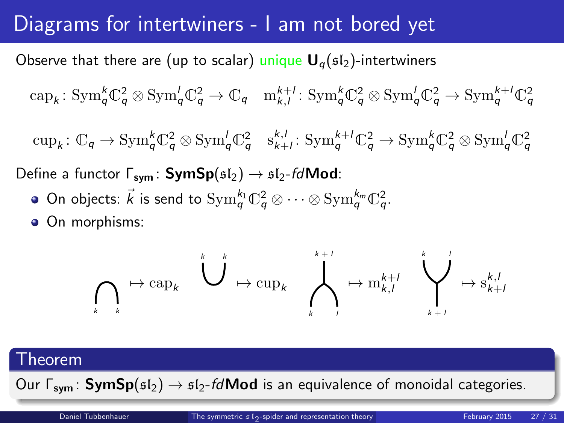# Diagrams for intertwiners - I am not bored yet

Observe that there are (up to scalar) unique  $U_{q}(sI_{2})$ -intertwiners

 $\text{cap}_k : \text{Sym}_q^k \mathbb{C}_q^2 \otimes \text{Sym}_q^l \mathbb{C}_q^2 \to \mathbb{C}_q \quad \text{m}_{k,l}^{k+l} : \text{Sym}_q^k \mathbb{C}_q^2 \otimes \text{Sym}_q^l \mathbb{C}_q^2 \to \text{Sym}_q^{k+l} \mathbb{C}_q^2$ 

 $\text{cup}_k: \mathbb{C}_q \to \text{Sym}_q^k \mathbb{C}_q^2 \otimes \text{Sym}_q^l \mathbb{C}_q^2 \quad s_{k+l}^{k,l}: \text{Sym}_q^{k+l} \mathbb{C}_q^2 \to \text{Sym}_q^k \mathbb{C}_q^2 \otimes \text{Sym}_q^l \mathbb{C}_q^2$ 

Define a functor  $\Gamma_{\text{sym}}$ : SymSp( $\mathfrak{sl}_2$ )  $\rightarrow$   $\mathfrak{sl}_2$ -fd**Mod**:

- On objects:  $\vec{k}$  is send to  $\text{Sym}^{k_1}_{q} \mathbb{C}^2_{q} \otimes \cdots \otimes \text{Sym}^{k_m}_{q} \mathbb{C}^2_{q}$ .
- On morphisms:

$$
\bigcap_k \mapsto \text{cap}_k \quad \bigcup^{k} \mapsto \text{cup}_k \quad \bigwedge^{k+l}_{k} \mapsto \text{m}_{k,l}^{k+l} \quad \bigvee^{k} \rightarrow \text{s}_{k+l}^{k,l}
$$

#### Theorem

Our  $\Gamma_{sym}$ : SymSp( $\mathfrak{sl}_2$ )  $\rightarrow$   $\mathfrak{sl}_2$ -fd**Mod** is an equivalence of monoidal categories.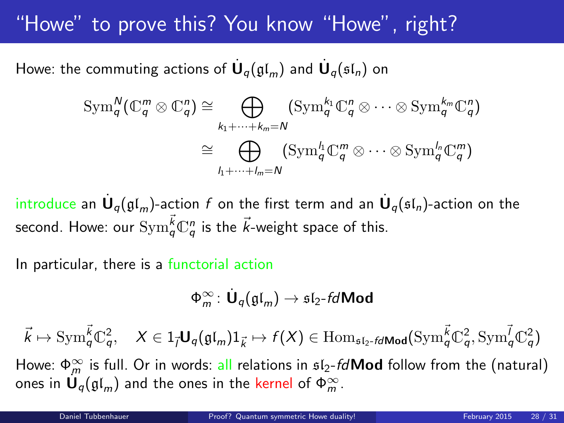# "Howe" to prove this? You know "Howe", right?

Howe: the commuting actions of  $\dot{\mathbf U}_q(\mathfrak{gl}_m)$  and  $\dot{\mathbf U}_q(\mathfrak{sl}_n)$  on

$$
\operatorname{Sym}_{q}^{N}(\mathbb{C}_{q}^{m}\otimes\mathbb{C}_{q}^{n})\cong\bigoplus_{k_{1}+\cdots+k_{m}=N}(\operatorname{Sym}_{q}^{k_{1}}\mathbb{C}_{q}^{n}\otimes\cdots\otimes\operatorname{Sym}_{q}^{k_{m}}\mathbb{C}_{q}^{n})
$$

$$
\cong\bigoplus_{l_{1}+\cdots+l_{m}=N}(\operatorname{Sym}_{q}^{l_{1}}\mathbb{C}_{q}^{m}\otimes\cdots\otimes\operatorname{Sym}_{q}^{l_{n}}\mathbb{C}_{q}^{m})
$$

introduce an  $\dot{\mathsf{U}}_q(\mathfrak{gl}_m)$ -action  $f$  on the first term and an  $\dot{\mathsf{U}}_q(\mathfrak{sl}_n)$ -action on the second. Howe: our  $\mathrm{Sym}^{\vec{k}}_q\mathbb{C}^n_q$  is the  $\vec{k}$ -weight space of this.

In particular, there is a functorial action

<span id="page-27-0"></span>
$$
\Phi_m^{\infty}\colon \dot{\mathbf U}_q(\mathfrak{gl}_m)\to \mathfrak{sl}_2\text{-}\textit{fdMod}
$$

 $\vec{k} \mapsto \mathrm{Sym}^{\vec{k}}_{q} \mathbb{C}^2_{q}, \quad X \in 1_{\vec{l}} \mathbf{U}_{q}(\mathfrak{gl}_m) 1_{\vec{k}} \mapsto f(X) \in \mathrm{Hom}_{\mathfrak{sl}_2\text{-}\vec{t} \mathsf{d} \mathsf{Mod}}(\mathrm{Sym}^{\vec{k}}_{q} \mathbb{C}^2_{q}, \mathrm{Sym}^{\vec{l}}_{q} \mathbb{C}^2_{q})$ 

Howe:  $\Phi_m^{\infty}$  is full. Or in words: all relations in  $\mathfrak{sl}_2$ -fd $\mathsf{Mod}$  follow from the (natural) ones in  $\mathbf{U}_q(\mathfrak{gl}_m)$  and the ones in the kernel of  $\Phi_m^{\infty}$ .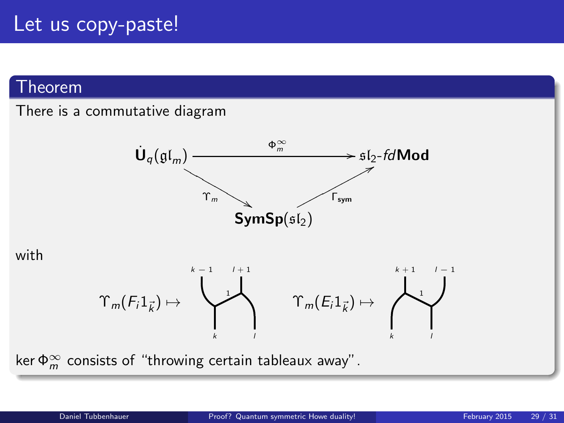## Let us copy-paste!

#### Theorem

#### There is a commutative diagram



with



ker  $\Phi_m^{\infty}$  consists of "throwing certain tableaux away".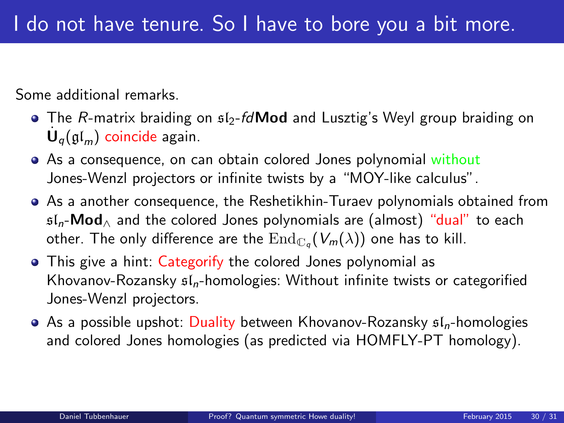Some additional remarks.

- $\bullet$  The R-matrix braiding on  $\mathfrak{sl}_2$ -fd**Mod** and Lusztig's Weyl group braiding on  $\dot{\mathsf{U}}_q(\mathfrak{gl}_m)$  coincide again.
- As a consequence, on can obtain colored Jones polynomial without Jones-Wenzl projectors or infinite twists by a "MOY-like calculus".
- As a another consequence, the Reshetikhin-Turaev polynomials obtained from  $sI_n$ -**Mod**<sub> $\land$ </sub> and the colored Jones polynomials are (almost) "dual" to each other. The only difference are the  $\mathrm{End}_{\mathbb{C}_q}(V_m(\lambda))$  one has to kill.
- This give a hint: Categorify the colored Jones polynomial as Khovanov-Rozansky  $f_n$ -homologies: Without infinite twists or categorified Jones-Wenzl projectors.
- $\bullet$  As a possible upshot: Duality between Khovanov-Rozansky  $\mathfrak{sl}_n$ -homologies and colored Jones homologies (as predicted via HOMFLY-PT homology).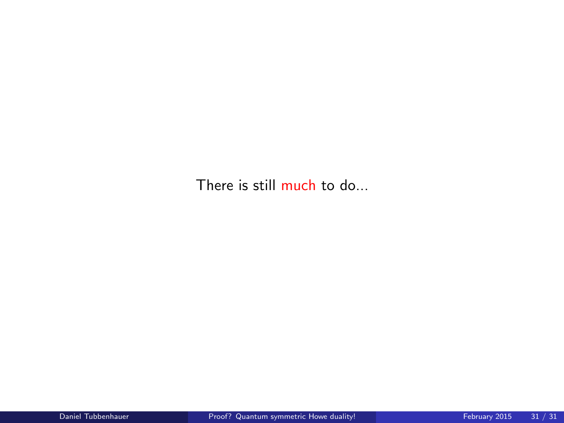There is still much to do...